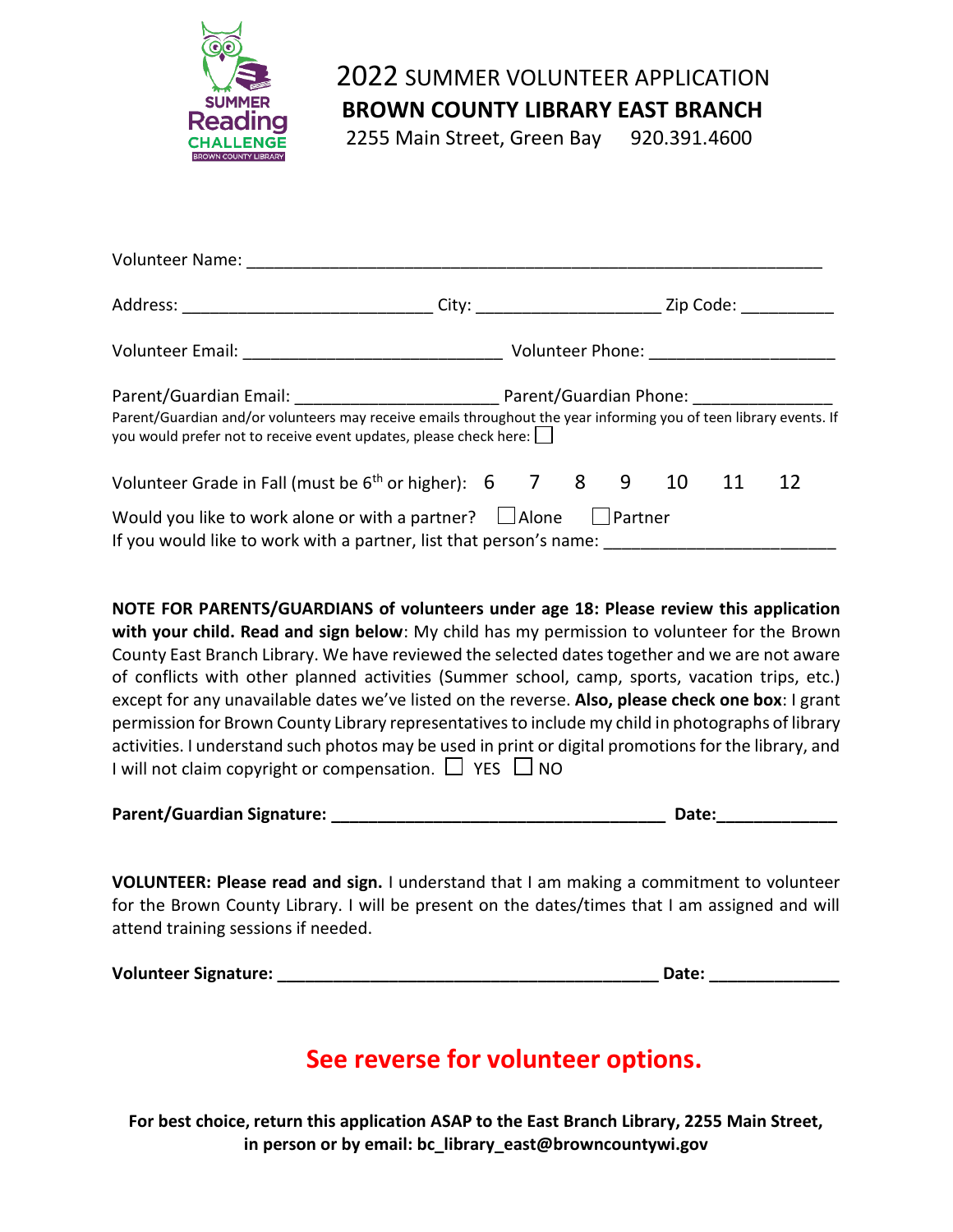

## 2022 SUMMER VOLUNTEER APPLICATION

**BROWN COUNTY LIBRARY EAST BRANCH**

2255 Main Street, Green Bay 920.391.4600

| Volunteer Name:                                                                                                                                                                                                                                                |                               |  |  |           |    |  |
|----------------------------------------------------------------------------------------------------------------------------------------------------------------------------------------------------------------------------------------------------------------|-------------------------------|--|--|-----------|----|--|
|                                                                                                                                                                                                                                                                | City: _______________________ |  |  | Zip Code: |    |  |
|                                                                                                                                                                                                                                                                |                               |  |  |           |    |  |
| Parent/Guardian Email: Parent/Guardian Phone: Parent/Guardian Phone:<br>Parent/Guardian and/or volunteers may receive emails throughout the year informing you of teen library events. If<br>you would prefer not to receive event updates, please check here: |                               |  |  |           |    |  |
| Volunteer Grade in Fall (must be $6th$ or higher): $6$ 7 8 9 10 11                                                                                                                                                                                             |                               |  |  |           | 12 |  |
| Would you like to work alone or with a partner? $\Box$ Alone $\Box$ Partner<br>If you would like to work with a partner, list that person's name:                                                                                                              |                               |  |  |           |    |  |

**NOTE FOR PARENTS/GUARDIANS of volunteers under age 18: Please review this application with your child. Read and sign below**: My child has my permission to volunteer for the Brown County East Branch Library. We have reviewed the selected dates together and we are not aware of conflicts with other planned activities (Summer school, camp, sports, vacation trips, etc.) except for any unavailable dates we've listed on the reverse. **Also, please check one box**: I grant permission for Brown County Library representatives to include my child in photographs of library activities. I understand such photos may be used in print or digital promotions for the library, and I will not claim copyright or compensation.  $\Box$  YES  $\Box$  NO

| <b>Parent/Guardian Signature:</b> |  | Date. |
|-----------------------------------|--|-------|
|-----------------------------------|--|-------|

**VOLUNTEER: Please read and sign.** I understand that I am making a commitment to volunteer for the Brown County Library. I will be present on the dates/times that I am assigned and will attend training sessions if needed.

| <b>Volunteer Signature:</b> | <b>Date:</b> |  |
|-----------------------------|--------------|--|
|-----------------------------|--------------|--|

# **See reverse for volunteer options.**

**For best choice, return this application ASAP to the East Branch Library, 2255 Main Street, in person or by email: bc\_library\_east@browncountywi.gov**